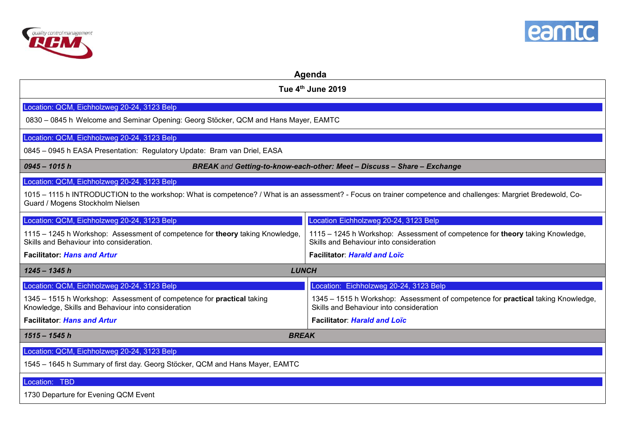



| Agenda                                                                                                                                                                                             |                                                                                                                             |  |
|----------------------------------------------------------------------------------------------------------------------------------------------------------------------------------------------------|-----------------------------------------------------------------------------------------------------------------------------|--|
| Tue 4th June 2019                                                                                                                                                                                  |                                                                                                                             |  |
| Location: QCM, Eichholzweg 20-24, 3123 Belp                                                                                                                                                        |                                                                                                                             |  |
| 0830 - 0845 h Welcome and Seminar Opening: Georg Stöcker, QCM and Hans Mayer, EAMTC                                                                                                                |                                                                                                                             |  |
| Location: QCM, Eichholzweg 20-24, 3123 Belp                                                                                                                                                        |                                                                                                                             |  |
| 0845 - 0945 h EASA Presentation: Regulatory Update: Bram van Driel, EASA                                                                                                                           |                                                                                                                             |  |
| BREAK and Getting-to-know-each-other: Meet - Discuss - Share - Exchange<br>$0945 - 1015h$                                                                                                          |                                                                                                                             |  |
| Location: QCM, Eichholzweg 20-24, 3123 Belp                                                                                                                                                        |                                                                                                                             |  |
| 1015 - 1115 h INTRODUCTION to the workshop: What is competence? / What is an assessment? - Focus on trainer competence and challenges: Margriet Bredewold, Co-<br>Guard / Mogens Stockholm Nielsen |                                                                                                                             |  |
| Location: QCM, Eichholzweg 20-24, 3123 Belp                                                                                                                                                        | Location Eichholzweg 20-24, 3123 Belp                                                                                       |  |
| 1115 - 1245 h Workshop: Assessment of competence for theory taking Knowledge,<br>Skills and Behaviour into consideration.                                                                          | 1115 - 1245 h Workshop: Assessment of competence for theory taking Knowledge,<br>Skills and Behaviour into consideration    |  |
| <b>Facilitator: Hans and Artur</b>                                                                                                                                                                 | <b>Facilitator: Harald and Loïc</b>                                                                                         |  |
| <b>LUNCH</b><br>$1245 - 1345 h$                                                                                                                                                                    |                                                                                                                             |  |
| Location: QCM, Eichholzweg 20-24, 3123 Belp                                                                                                                                                        | Location: Eichholzweg 20-24, 3123 Belp                                                                                      |  |
| 1345 - 1515 h Workshop: Assessment of competence for practical taking<br>Knowledge, Skills and Behaviour into consideration                                                                        | 1345 - 1515 h Workshop: Assessment of competence for practical taking Knowledge,<br>Skills and Behaviour into consideration |  |
| <b>Facilitator: Hans and Artur</b>                                                                                                                                                                 | <b>Facilitator: Harald and Loïc</b>                                                                                         |  |
| $1515 - 1545 h$<br><b>BREAK</b>                                                                                                                                                                    |                                                                                                                             |  |
| Location: QCM, Eichholzweg 20-24, 3123 Belp                                                                                                                                                        |                                                                                                                             |  |
| 1545 - 1645 h Summary of first day. Georg Stöcker, QCM and Hans Mayer, EAMTC                                                                                                                       |                                                                                                                             |  |
| Location: TBD                                                                                                                                                                                      |                                                                                                                             |  |
| 1730 Departure for Evening QCM Event                                                                                                                                                               |                                                                                                                             |  |